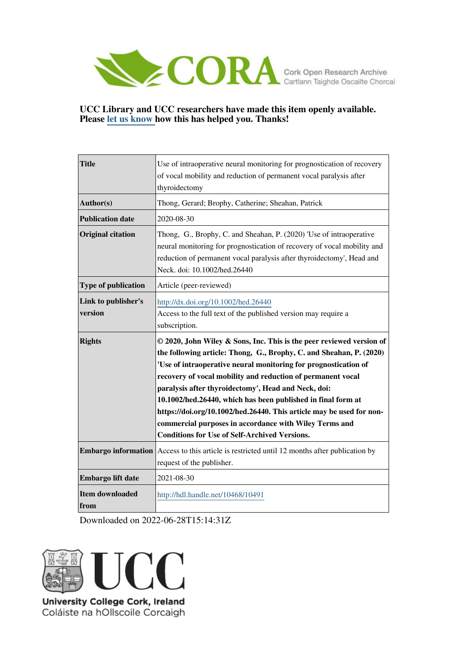

# **UCC Library and UCC researchers have made this item openly available. Please [let us know h](https://libguides.ucc.ie/openaccess/impact?suffix=10491&title=Use of intraoperative neural monitoring for prognostication of recovery of vocal mobility and reduction of permanent vocal paralysis after thyroidectomy)ow this has helped you. Thanks!**

| <b>Title</b>                   | Use of intraoperative neural monitoring for prognostication of recovery<br>of vocal mobility and reduction of permanent vocal paralysis after<br>thyroidectomy                                                                                                                                                                                                                                                                                                                                                                                                                                 |
|--------------------------------|------------------------------------------------------------------------------------------------------------------------------------------------------------------------------------------------------------------------------------------------------------------------------------------------------------------------------------------------------------------------------------------------------------------------------------------------------------------------------------------------------------------------------------------------------------------------------------------------|
| Author(s)                      | Thong, Gerard; Brophy, Catherine; Sheahan, Patrick                                                                                                                                                                                                                                                                                                                                                                                                                                                                                                                                             |
| <b>Publication date</b>        | 2020-08-30                                                                                                                                                                                                                                                                                                                                                                                                                                                                                                                                                                                     |
| <b>Original citation</b>       | Thong, G., Brophy, C. and Sheahan, P. (2020) 'Use of intraoperative<br>neural monitoring for prognostication of recovery of vocal mobility and<br>reduction of permanent vocal paralysis after thyroidectomy', Head and<br>Neck. doi: 10.1002/hed.26440                                                                                                                                                                                                                                                                                                                                        |
| Type of publication            | Article (peer-reviewed)                                                                                                                                                                                                                                                                                                                                                                                                                                                                                                                                                                        |
| Link to publisher's<br>version | http://dx.doi.org/10.1002/hed.26440<br>Access to the full text of the published version may require a<br>subscription.                                                                                                                                                                                                                                                                                                                                                                                                                                                                         |
|                                |                                                                                                                                                                                                                                                                                                                                                                                                                                                                                                                                                                                                |
| <b>Rights</b>                  | © 2020, John Wiley & Sons, Inc. This is the peer reviewed version of<br>the following article: Thong, G., Brophy, C. and Sheahan, P. (2020)<br>'Use of intraoperative neural monitoring for prognostication of<br>recovery of vocal mobility and reduction of permanent vocal<br>paralysis after thyroidectomy', Head and Neck, doi:<br>10.1002/hed.26440, which has been published in final form at<br>https://doi.org/10.1002/hed.26440. This article may be used for non-<br>commercial purposes in accordance with Wiley Terms and<br><b>Conditions for Use of Self-Archived Versions.</b> |
|                                | <b>Embargo information</b> Access to this article is restricted until 12 months after publication by<br>request of the publisher.                                                                                                                                                                                                                                                                                                                                                                                                                                                              |
| Embargo lift date              | 2021-08-30                                                                                                                                                                                                                                                                                                                                                                                                                                                                                                                                                                                     |

Downloaded on 2022-06-28T15:14:31Z



University College Cork, Ireland Coláiste na hOllscoile Corcaigh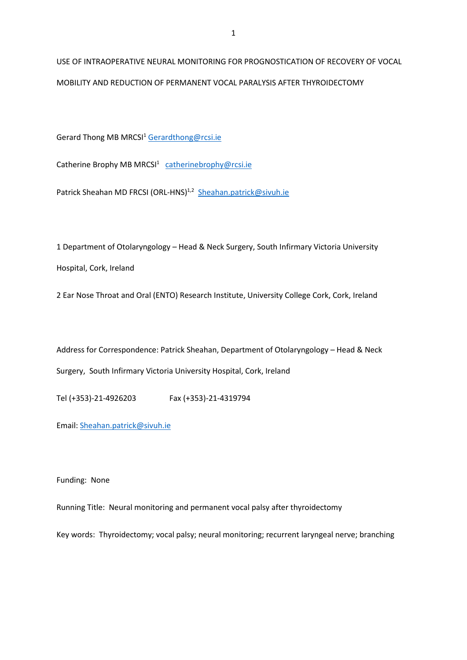USE OF INTRAOPERATIVE NEURAL MONITORING FOR PROGNOSTICATION OF RECOVERY OF VOCAL MOBILITY AND REDUCTION OF PERMANENT VOCAL PARALYSIS AFTER THYROIDECTOMY

Gerard Thong MB MRCSI<sup>1</sup> [Gerardthong@rcsi.ie](mailto:Gerardthong@rcsi.ie)

Catherine Brophy MB MRCSI<sup>1</sup> [catherinebrophy@rcsi.ie](mailto:catherinebrophy@rcsi.ie)

Patrick Sheahan MD FRCSI (ORL-HNS)<sup>1,2</sup> [Sheahan.patrick@sivuh.ie](mailto:Sheahan.patrick@sivuh.ie)

1 Department of Otolaryngology – Head & Neck Surgery, South Infirmary Victoria University Hospital, Cork, Ireland

2 Ear Nose Throat and Oral (ENTO) Research Institute, University College Cork, Cork, Ireland

Address for Correspondence: Patrick Sheahan, Department of Otolaryngology – Head & Neck Surgery, South Infirmary Victoria University Hospital, Cork, Ireland

Tel (+353)-21-4926203 Fax (+353)-21-4319794

Email: [Sheahan.patrick@sivuh.ie](mailto:Sheahan.patrick@sivuh.ie)

Funding: None

Running Title: Neural monitoring and permanent vocal palsy after thyroidectomy

Key words: Thyroidectomy; vocal palsy; neural monitoring; recurrent laryngeal nerve; branching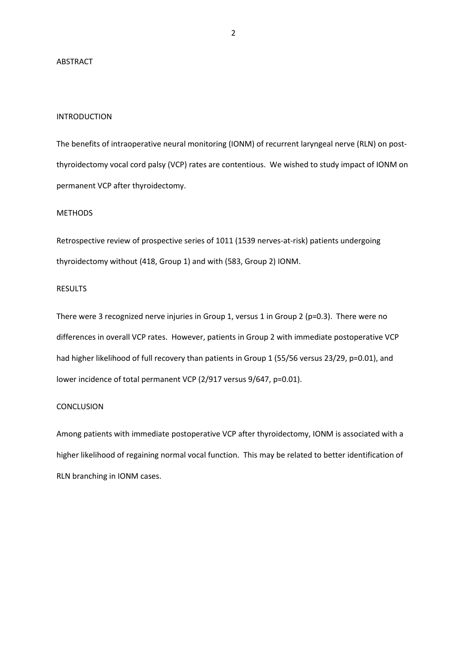### ABSTRACT

## INTRODUCTION

The benefits of intraoperative neural monitoring (IONM) of recurrent laryngeal nerve (RLN) on postthyroidectomy vocal cord palsy (VCP) rates are contentious. We wished to study impact of IONM on permanent VCP after thyroidectomy.

### **METHODS**

Retrospective review of prospective series of 1011 (1539 nerves-at-risk) patients undergoing thyroidectomy without (418, Group 1) and with (583, Group 2) IONM.

## **RESULTS**

There were 3 recognized nerve injuries in Group 1, versus 1 in Group 2 (p=0.3). There were no differences in overall VCP rates. However, patients in Group 2 with immediate postoperative VCP had higher likelihood of full recovery than patients in Group 1 (55/56 versus 23/29, p=0.01), and lower incidence of total permanent VCP (2/917 versus 9/647, p=0.01).

## **CONCLUSION**

Among patients with immediate postoperative VCP after thyroidectomy, IONM is associated with a higher likelihood of regaining normal vocal function. This may be related to better identification of RLN branching in IONM cases.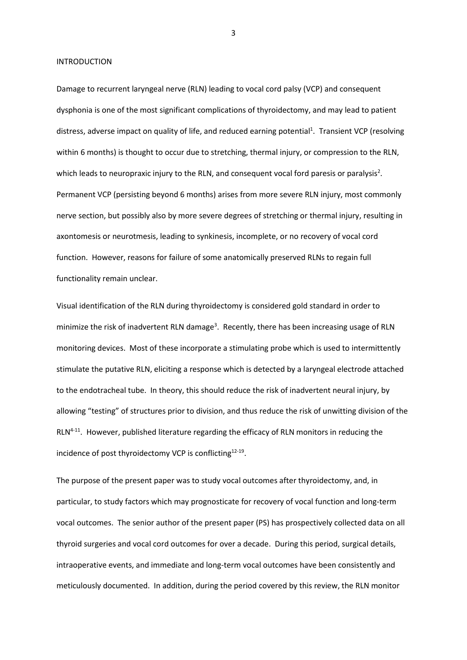INTRODUCTION

Damage to recurrent laryngeal nerve (RLN) leading to vocal cord palsy (VCP) and consequent dysphonia is one of the most significant complications of thyroidectomy, and may lead to patient distress, adverse impact on quality of life, and reduced earning potential<sup>1</sup>. Transient VCP (resolving within 6 months) is thought to occur due to stretching, thermal injury, or compression to the RLN, which leads to neuropraxic injury to the RLN, and consequent vocal ford paresis or paralysis<sup>2</sup>. Permanent VCP (persisting beyond 6 months) arises from more severe RLN injury, most commonly nerve section, but possibly also by more severe degrees of stretching or thermal injury, resulting in axontomesis or neurotmesis, leading to synkinesis, incomplete, or no recovery of vocal cord function. However, reasons for failure of some anatomically preserved RLNs to regain full functionality remain unclear.

Visual identification of the RLN during thyroidectomy is considered gold standard in order to minimize the risk of inadvertent RLN damage<sup>3</sup>. Recently, there has been increasing usage of RLN monitoring devices. Most of these incorporate a stimulating probe which is used to intermittently stimulate the putative RLN, eliciting a response which is detected by a laryngeal electrode attached to the endotracheal tube. In theory, this should reduce the risk of inadvertent neural injury, by allowing "testing" of structures prior to division, and thus reduce the risk of unwitting division of the RLN<sup>4-11</sup>. However, published literature regarding the efficacy of RLN monitors in reducing the incidence of post thyroidectomy VCP is conflicting<sup>12-19</sup>.

The purpose of the present paper was to study vocal outcomes after thyroidectomy, and, in particular, to study factors which may prognosticate for recovery of vocal function and long-term vocal outcomes. The senior author of the present paper (PS) has prospectively collected data on all thyroid surgeries and vocal cord outcomes for over a decade. During this period, surgical details, intraoperative events, and immediate and long-term vocal outcomes have been consistently and meticulously documented. In addition, during the period covered by this review, the RLN monitor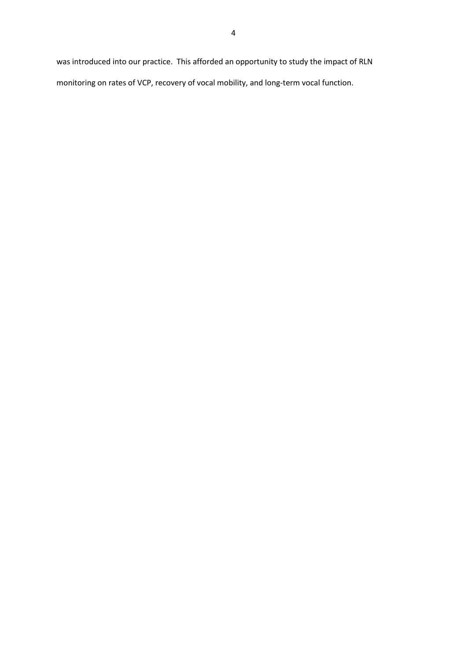was introduced into our practice. This afforded an opportunity to study the impact of RLN monitoring on rates of VCP, recovery of vocal mobility, and long-term vocal function.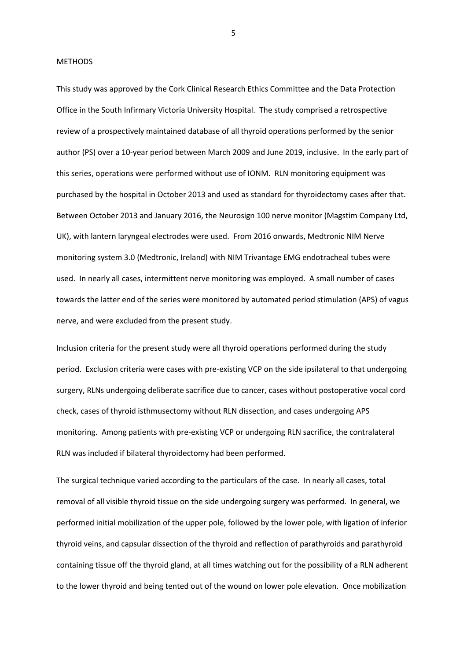#### METHODS

This study was approved by the Cork Clinical Research Ethics Committee and the Data Protection Office in the South Infirmary Victoria University Hospital. The study comprised a retrospective review of a prospectively maintained database of all thyroid operations performed by the senior author (PS) over a 10-year period between March 2009 and June 2019, inclusive. In the early part of this series, operations were performed without use of IONM. RLN monitoring equipment was purchased by the hospital in October 2013 and used as standard for thyroidectomy cases after that. Between October 2013 and January 2016, the Neurosign 100 nerve monitor (Magstim Company Ltd, UK), with lantern laryngeal electrodes were used. From 2016 onwards, Medtronic NIM Nerve monitoring system 3.0 (Medtronic, Ireland) with NIM Trivantage EMG endotracheal tubes were used. In nearly all cases, intermittent nerve monitoring was employed. A small number of cases towards the latter end of the series were monitored by automated period stimulation (APS) of vagus nerve, and were excluded from the present study.

Inclusion criteria for the present study were all thyroid operations performed during the study period. Exclusion criteria were cases with pre-existing VCP on the side ipsilateral to that undergoing surgery, RLNs undergoing deliberate sacrifice due to cancer, cases without postoperative vocal cord check, cases of thyroid isthmusectomy without RLN dissection, and cases undergoing APS monitoring. Among patients with pre-existing VCP or undergoing RLN sacrifice, the contralateral RLN was included if bilateral thyroidectomy had been performed.

The surgical technique varied according to the particulars of the case. In nearly all cases, total removal of all visible thyroid tissue on the side undergoing surgery was performed. In general, we performed initial mobilization of the upper pole, followed by the lower pole, with ligation of inferior thyroid veins, and capsular dissection of the thyroid and reflection of parathyroids and parathyroid containing tissue off the thyroid gland, at all times watching out for the possibility of a RLN adherent to the lower thyroid and being tented out of the wound on lower pole elevation. Once mobilization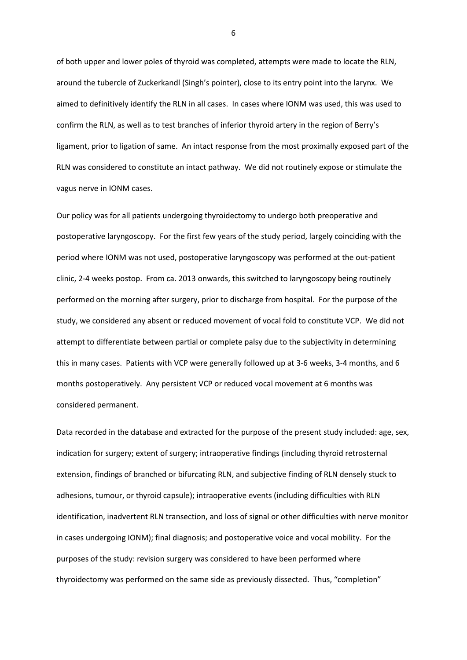of both upper and lower poles of thyroid was completed, attempts were made to locate the RLN, around the tubercle of Zuckerkandl (Singh's pointer), close to its entry point into the larynx. We aimed to definitively identify the RLN in all cases. In cases where IONM was used, this was used to confirm the RLN, as well as to test branches of inferior thyroid artery in the region of Berry's ligament, prior to ligation of same. An intact response from the most proximally exposed part of the RLN was considered to constitute an intact pathway. We did not routinely expose or stimulate the vagus nerve in IONM cases.

Our policy was for all patients undergoing thyroidectomy to undergo both preoperative and postoperative laryngoscopy. For the first few years of the study period, largely coinciding with the period where IONM was not used, postoperative laryngoscopy was performed at the out-patient clinic, 2-4 weeks postop. From ca. 2013 onwards, this switched to laryngoscopy being routinely performed on the morning after surgery, prior to discharge from hospital. For the purpose of the study, we considered any absent or reduced movement of vocal fold to constitute VCP. We did not attempt to differentiate between partial or complete palsy due to the subjectivity in determining this in many cases. Patients with VCP were generally followed up at 3-6 weeks, 3-4 months, and 6 months postoperatively. Any persistent VCP or reduced vocal movement at 6 months was considered permanent.

Data recorded in the database and extracted for the purpose of the present study included: age, sex, indication for surgery; extent of surgery; intraoperative findings (including thyroid retrosternal extension, findings of branched or bifurcating RLN, and subjective finding of RLN densely stuck to adhesions, tumour, or thyroid capsule); intraoperative events (including difficulties with RLN identification, inadvertent RLN transection, and loss of signal or other difficulties with nerve monitor in cases undergoing IONM); final diagnosis; and postoperative voice and vocal mobility. For the purposes of the study: revision surgery was considered to have been performed where thyroidectomy was performed on the same side as previously dissected. Thus, "completion"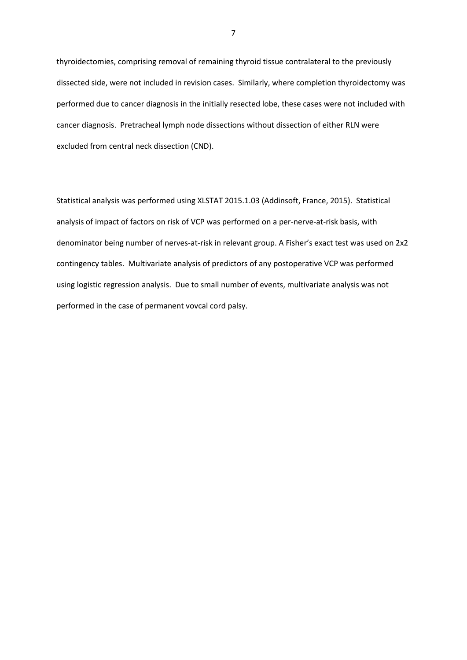thyroidectomies, comprising removal of remaining thyroid tissue contralateral to the previously dissected side, were not included in revision cases. Similarly, where completion thyroidectomy was performed due to cancer diagnosis in the initially resected lobe, these cases were not included with cancer diagnosis. Pretracheal lymph node dissections without dissection of either RLN were excluded from central neck dissection (CND).

Statistical analysis was performed using XLSTAT 2015.1.03 (Addinsoft, France, 2015). Statistical analysis of impact of factors on risk of VCP was performed on a per-nerve-at-risk basis, with denominator being number of nerves-at-risk in relevant group. A Fisher's exact test was used on 2x2 contingency tables. Multivariate analysis of predictors of any postoperative VCP was performed using logistic regression analysis. Due to small number of events, multivariate analysis was not performed in the case of permanent vovcal cord palsy.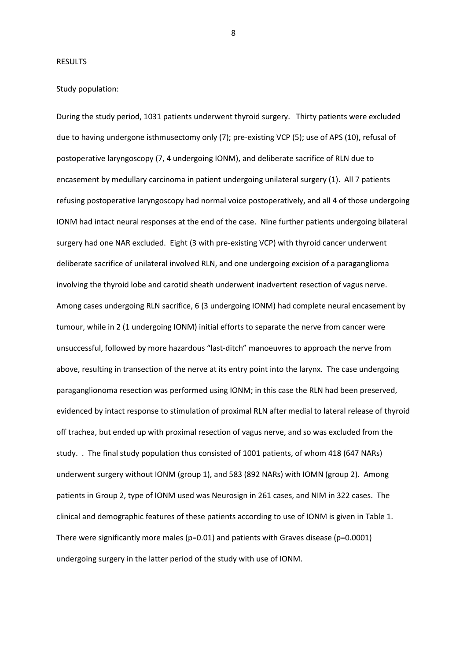#### RESULTS

## Study population:

During the study period, 1031 patients underwent thyroid surgery. Thirty patients were excluded due to having undergone isthmusectomy only (7); pre-existing VCP (5); use of APS (10), refusal of postoperative laryngoscopy (7, 4 undergoing IONM), and deliberate sacrifice of RLN due to encasement by medullary carcinoma in patient undergoing unilateral surgery (1). All 7 patients refusing postoperative laryngoscopy had normal voice postoperatively, and all 4 of those undergoing IONM had intact neural responses at the end of the case. Nine further patients undergoing bilateral surgery had one NAR excluded. Eight (3 with pre-existing VCP) with thyroid cancer underwent deliberate sacrifice of unilateral involved RLN, and one undergoing excision of a paraganglioma involving the thyroid lobe and carotid sheath underwent inadvertent resection of vagus nerve. Among cases undergoing RLN sacrifice, 6 (3 undergoing IONM) had complete neural encasement by tumour, while in 2 (1 undergoing IONM) initial efforts to separate the nerve from cancer were unsuccessful, followed by more hazardous "last-ditch" manoeuvres to approach the nerve from above, resulting in transection of the nerve at its entry point into the larynx. The case undergoing paraganglionoma resection was performed using IONM; in this case the RLN had been preserved, evidenced by intact response to stimulation of proximal RLN after medial to lateral release of thyroid off trachea, but ended up with proximal resection of vagus nerve, and so was excluded from the study. . The final study population thus consisted of 1001 patients, of whom 418 (647 NARs) underwent surgery without IONM (group 1), and 583 (892 NARs) with IOMN (group 2). Among patients in Group 2, type of IONM used was Neurosign in 261 cases, and NIM in 322 cases. The clinical and demographic features of these patients according to use of IONM is given in Table 1. There were significantly more males ( $p=0.01$ ) and patients with Graves disease ( $p=0.0001$ ) undergoing surgery in the latter period of the study with use of IONM.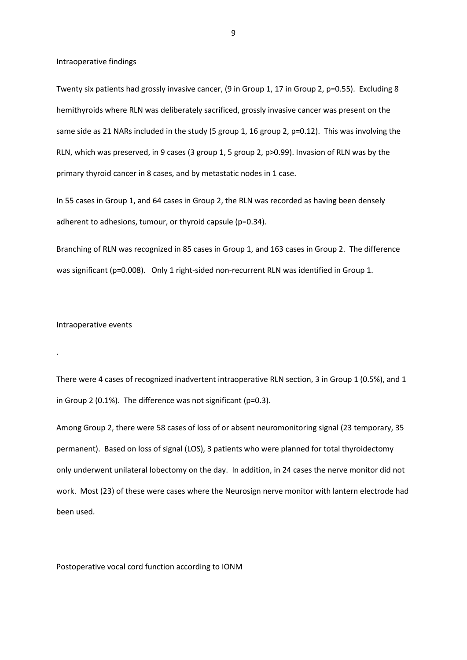Intraoperative findings

Twenty six patients had grossly invasive cancer, (9 in Group 1, 17 in Group 2, p=0.55). Excluding 8 hemithyroids where RLN was deliberately sacrificed, grossly invasive cancer was present on the same side as 21 NARs included in the study (5 group 1, 16 group 2, p=0.12). This was involving the RLN, which was preserved, in 9 cases (3 group 1, 5 group 2, p>0.99). Invasion of RLN was by the primary thyroid cancer in 8 cases, and by metastatic nodes in 1 case.

In 55 cases in Group 1, and 64 cases in Group 2, the RLN was recorded as having been densely adherent to adhesions, tumour, or thyroid capsule (p=0.34).

Branching of RLN was recognized in 85 cases in Group 1, and 163 cases in Group 2. The difference was significant (p=0.008). Only 1 right-sided non-recurrent RLN was identified in Group 1.

#### Intraoperative events

.

There were 4 cases of recognized inadvertent intraoperative RLN section, 3 in Group 1 (0.5%), and 1 in Group 2 (0.1%). The difference was not significant (p=0.3).

Among Group 2, there were 58 cases of loss of or absent neuromonitoring signal (23 temporary, 35 permanent). Based on loss of signal (LOS), 3 patients who were planned for total thyroidectomy only underwent unilateral lobectomy on the day. In addition, in 24 cases the nerve monitor did not work. Most (23) of these were cases where the Neurosign nerve monitor with lantern electrode had been used.

Postoperative vocal cord function according to IONM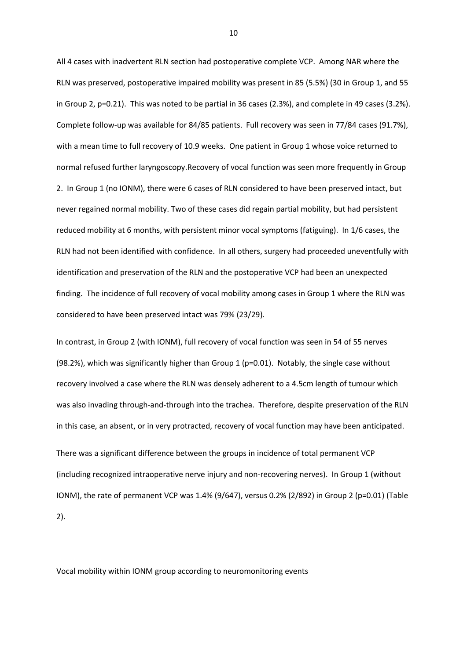All 4 cases with inadvertent RLN section had postoperative complete VCP. Among NAR where the RLN was preserved, postoperative impaired mobility was present in 85 (5.5%) (30 in Group 1, and 55 in Group 2, p=0.21). This was noted to be partial in 36 cases (2.3%), and complete in 49 cases (3.2%). Complete follow-up was available for 84/85 patients. Full recovery was seen in 77/84 cases (91.7%), with a mean time to full recovery of 10.9 weeks. One patient in Group 1 whose voice returned to normal refused further laryngoscopy.Recovery of vocal function was seen more frequently in Group 2. In Group 1 (no IONM), there were 6 cases of RLN considered to have been preserved intact, but never regained normal mobility. Two of these cases did regain partial mobility, but had persistent reduced mobility at 6 months, with persistent minor vocal symptoms (fatiguing). In 1/6 cases, the RLN had not been identified with confidence. In all others, surgery had proceeded uneventfully with identification and preservation of the RLN and the postoperative VCP had been an unexpected finding. The incidence of full recovery of vocal mobility among cases in Group 1 where the RLN was considered to have been preserved intact was 79% (23/29).

In contrast, in Group 2 (with IONM), full recovery of vocal function was seen in 54 of 55 nerves (98.2%), which was significantly higher than Group 1 ( $p=0.01$ ). Notably, the single case without recovery involved a case where the RLN was densely adherent to a 4.5cm length of tumour which was also invading through-and-through into the trachea. Therefore, despite preservation of the RLN in this case, an absent, or in very protracted, recovery of vocal function may have been anticipated.

There was a significant difference between the groups in incidence of total permanent VCP (including recognized intraoperative nerve injury and non-recovering nerves). In Group 1 (without IONM), the rate of permanent VCP was 1.4% (9/647), versus 0.2% (2/892) in Group 2 (p=0.01) (Table 2).

Vocal mobility within IONM group according to neuromonitoring events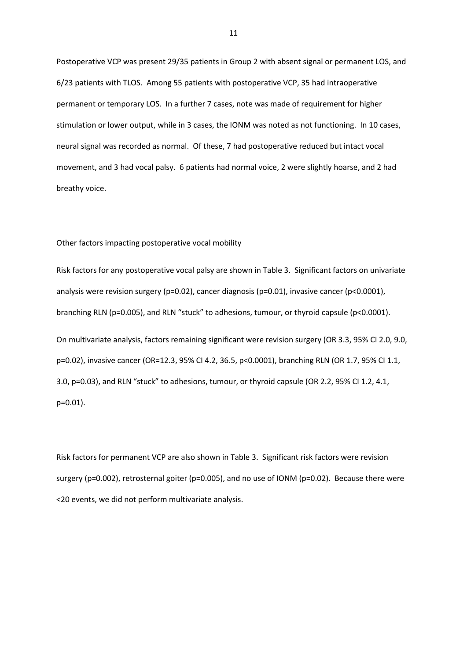Postoperative VCP was present 29/35 patients in Group 2 with absent signal or permanent LOS, and 6/23 patients with TLOS. Among 55 patients with postoperative VCP, 35 had intraoperative permanent or temporary LOS. In a further 7 cases, note was made of requirement for higher stimulation or lower output, while in 3 cases, the IONM was noted as not functioning. In 10 cases, neural signal was recorded as normal. Of these, 7 had postoperative reduced but intact vocal movement, and 3 had vocal palsy. 6 patients had normal voice, 2 were slightly hoarse, and 2 had breathy voice.

#### Other factors impacting postoperative vocal mobility

Risk factors for any postoperative vocal palsy are shown in Table 3. Significant factors on univariate analysis were revision surgery (p=0.02), cancer diagnosis (p=0.01), invasive cancer (p<0.0001), branching RLN (p=0.005), and RLN "stuck" to adhesions, tumour, or thyroid capsule (p<0.0001). On multivariate analysis, factors remaining significant were revision surgery (OR 3.3, 95% CI 2.0, 9.0, p=0.02), invasive cancer (OR=12.3, 95% CI 4.2, 36.5, p<0.0001), branching RLN (OR 1.7, 95% CI 1.1, 3.0, p=0.03), and RLN "stuck" to adhesions, tumour, or thyroid capsule (OR 2.2, 95% CI 1.2, 4.1, p=0.01).

Risk factors for permanent VCP are also shown in Table 3. Significant risk factors were revision surgery (p=0.002), retrosternal goiter (p=0.005), and no use of IONM (p=0.02). Because there were <20 events, we did not perform multivariate analysis.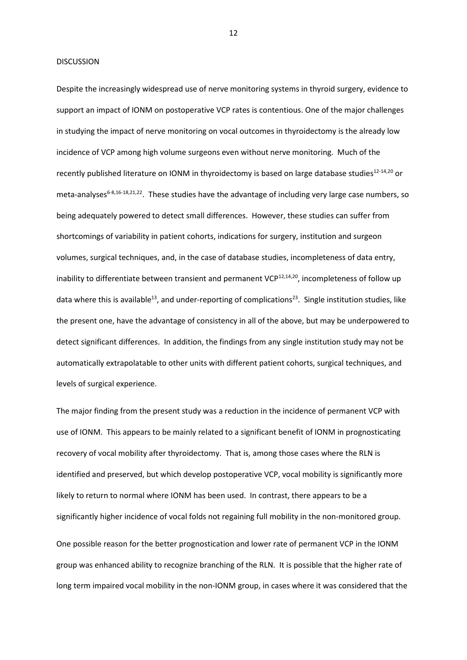#### DISCUSSION

Despite the increasingly widespread use of nerve monitoring systems in thyroid surgery, evidence to support an impact of IONM on postoperative VCP rates is contentious. One of the major challenges in studying the impact of nerve monitoring on vocal outcomes in thyroidectomy is the already low incidence of VCP among high volume surgeons even without nerve monitoring. Much of the recently published literature on IONM in thyroidectomy is based on large database studies<sup>12-14,20</sup> or meta-analyses<sup>6-8,16-18,21,22</sup>. These studies have the advantage of including very large case numbers, so being adequately powered to detect small differences. However, these studies can suffer from shortcomings of variability in patient cohorts, indications for surgery, institution and surgeon volumes, surgical techniques, and, in the case of database studies, incompleteness of data entry, inability to differentiate between transient and permanent  $VCP^{12,14,20}$ , incompleteness of follow up data where this is available<sup>13</sup>, and under-reporting of complications<sup>23</sup>. Single institution studies, like the present one, have the advantage of consistency in all of the above, but may be underpowered to detect significant differences. In addition, the findings from any single institution study may not be automatically extrapolatable to other units with different patient cohorts, surgical techniques, and levels of surgical experience.

The major finding from the present study was a reduction in the incidence of permanent VCP with use of IONM. This appears to be mainly related to a significant benefit of IONM in prognosticating recovery of vocal mobility after thyroidectomy. That is, among those cases where the RLN is identified and preserved, but which develop postoperative VCP, vocal mobility is significantly more likely to return to normal where IONM has been used. In contrast, there appears to be a significantly higher incidence of vocal folds not regaining full mobility in the non-monitored group. One possible reason for the better prognostication and lower rate of permanent VCP in the IONM group was enhanced ability to recognize branching of the RLN. It is possible that the higher rate of long term impaired vocal mobility in the non-IONM group, in cases where it was considered that the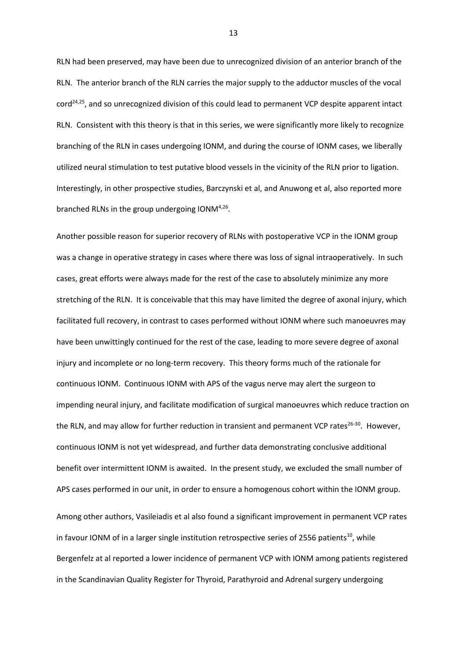RLN had been preserved, may have been due to unrecognized division of an anterior branch of the RLN. The anterior branch of the RLN carries the major supply to the adductor muscles of the vocal  $\text{cord}^{24,25}$ , and so unrecognized division of this could lead to permanent VCP despite apparent intact RLN. Consistent with this theory is that in this series, we were significantly more likely to recognize branching of the RLN in cases undergoing IONM, and during the course of IONM cases, we liberally utilized neural stimulation to test putative blood vessels in the vicinity of the RLN prior to ligation. Interestingly, in other prospective studies, Barczynski et al, and Anuwong et al, also reported more branched RLNs in the group undergoing ION $M^{4,26}$ .

Another possible reason for superior recovery of RLNs with postoperative VCP in the IONM group was a change in operative strategy in cases where there was loss of signal intraoperatively. In such cases, great efforts were always made for the rest of the case to absolutely minimize any more stretching of the RLN. It is conceivable that this may have limited the degree of axonal injury, which facilitated full recovery, in contrast to cases performed without IONM where such manoeuvres may have been unwittingly continued for the rest of the case, leading to more severe degree of axonal injury and incomplete or no long-term recovery. This theory forms much of the rationale for continuous IONM. Continuous IONM with APS of the vagus nerve may alert the surgeon to impending neural injury, and facilitate modification of surgical manoeuvres which reduce traction on the RLN, and may allow for further reduction in transient and permanent VCP rates<sup>26-30</sup>. However, continuous IONM is not yet widespread, and further data demonstrating conclusive additional benefit over intermittent IONM is awaited. In the present study, we excluded the small number of APS cases performed in our unit, in order to ensure a homogenous cohort within the IONM group. Among other authors, Vasileiadis et al also found a significant improvement in permanent VCP rates in favour IONM of in a larger single institution retrospective series of 2556 patients<sup>10</sup>, while Bergenfelz at al reported a lower incidence of permanent VCP with IONM among patients registered

in the Scandinavian Quality Register for Thyroid, Parathyroid and Adrenal surgery undergoing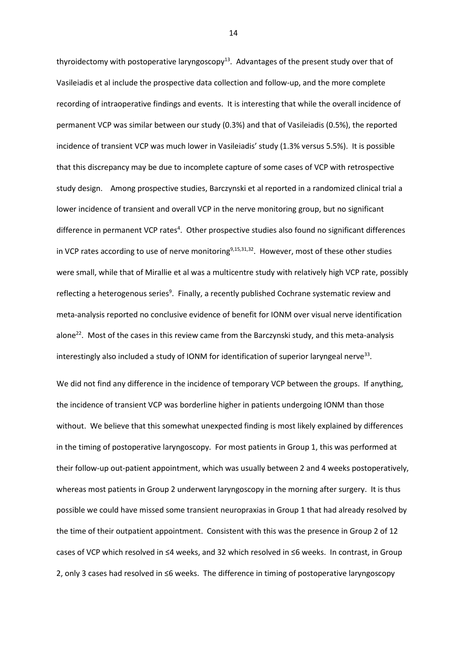thyroidectomy with postoperative laryngoscopy<sup>13</sup>. Advantages of the present study over that of Vasileiadis et al include the prospective data collection and follow-up, and the more complete recording of intraoperative findings and events. It is interesting that while the overall incidence of permanent VCP was similar between our study (0.3%) and that of Vasileiadis (0.5%), the reported incidence of transient VCP was much lower in Vasileiadis' study (1.3% versus 5.5%). It is possible that this discrepancy may be due to incomplete capture of some cases of VCP with retrospective study design. Among prospective studies, Barczynski et al reported in a randomized clinical trial a lower incidence of transient and overall VCP in the nerve monitoring group, but no significant difference in permanent VCP rates<sup>4</sup>. Other prospective studies also found no significant differences in VCP rates according to use of nerve monitoring<sup>9,15,31,32</sup>. However, most of these other studies were small, while that of Mirallie et al was a multicentre study with relatively high VCP rate, possibly reflecting a heterogenous series<sup>9</sup>. Finally, a recently published Cochrane systematic review and meta-analysis reported no conclusive evidence of benefit for IONM over visual nerve identification alone<sup>22</sup>. Most of the cases in this review came from the Barczynski study, and this meta-analysis interestingly also included a study of IONM for identification of superior laryngeal nerve<sup>33</sup>.

We did not find any difference in the incidence of temporary VCP between the groups. If anything, the incidence of transient VCP was borderline higher in patients undergoing IONM than those without. We believe that this somewhat unexpected finding is most likely explained by differences in the timing of postoperative laryngoscopy. For most patients in Group 1, this was performed at their follow-up out-patient appointment, which was usually between 2 and 4 weeks postoperatively, whereas most patients in Group 2 underwent laryngoscopy in the morning after surgery. It is thus possible we could have missed some transient neuropraxias in Group 1 that had already resolved by the time of their outpatient appointment. Consistent with this was the presence in Group 2 of 12 cases of VCP which resolved in ≤4 weeks, and 32 which resolved in ≤6 weeks. In contrast, in Group 2, only 3 cases had resolved in ≤6 weeks. The difference in timing of postoperative laryngoscopy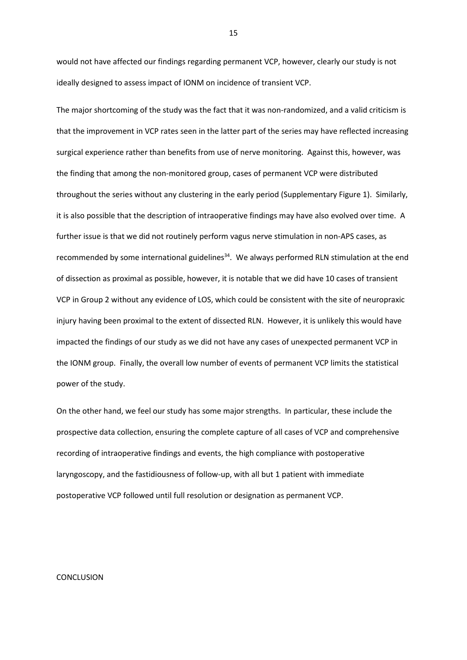would not have affected our findings regarding permanent VCP, however, clearly our study is not ideally designed to assess impact of IONM on incidence of transient VCP.

The major shortcoming of the study was the fact that it was non-randomized, and a valid criticism is that the improvement in VCP rates seen in the latter part of the series may have reflected increasing surgical experience rather than benefits from use of nerve monitoring. Against this, however, was the finding that among the non-monitored group, cases of permanent VCP were distributed throughout the series without any clustering in the early period (Supplementary Figure 1). Similarly, it is also possible that the description of intraoperative findings may have also evolved over time. A further issue is that we did not routinely perform vagus nerve stimulation in non-APS cases, as recommended by some international guidelines<sup>34</sup>. We always performed RLN stimulation at the end of dissection as proximal as possible, however, it is notable that we did have 10 cases of transient VCP in Group 2 without any evidence of LOS, which could be consistent with the site of neuropraxic injury having been proximal to the extent of dissected RLN. However, it is unlikely this would have impacted the findings of our study as we did not have any cases of unexpected permanent VCP in the IONM group. Finally, the overall low number of events of permanent VCP limits the statistical power of the study.

On the other hand, we feel our study has some major strengths. In particular, these include the prospective data collection, ensuring the complete capture of all cases of VCP and comprehensive recording of intraoperative findings and events, the high compliance with postoperative laryngoscopy, and the fastidiousness of follow-up, with all but 1 patient with immediate postoperative VCP followed until full resolution or designation as permanent VCP.

### CONCLUSION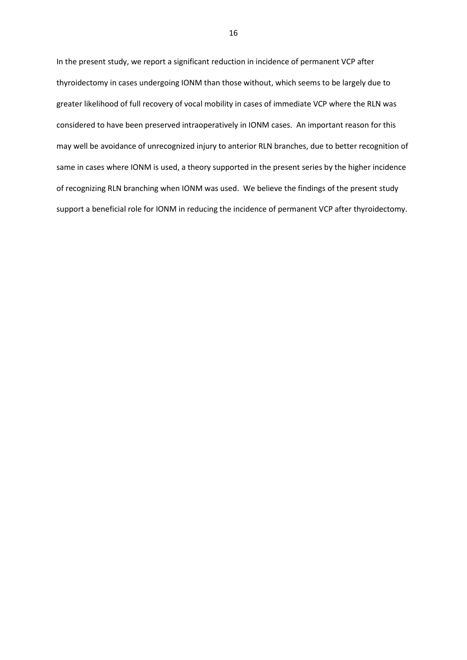In the present study, we report a significant reduction in incidence of permanent VCP after thyroidectomy in cases undergoing IONM than those without, which seems to be largely due to greater likelihood of full recovery of vocal mobility in cases of immediate VCP where the RLN was considered to have been preserved intraoperatively in IONM cases. An important reason for this may well be avoidance of unrecognized injury to anterior RLN branches, due to better recognition of same in cases where IONM is used, a theory supported in the present series by the higher incidence of recognizing RLN branching when IONM was used. We believe the findings of the present study support a beneficial role for IONM in reducing the incidence of permanent VCP after thyroidectomy.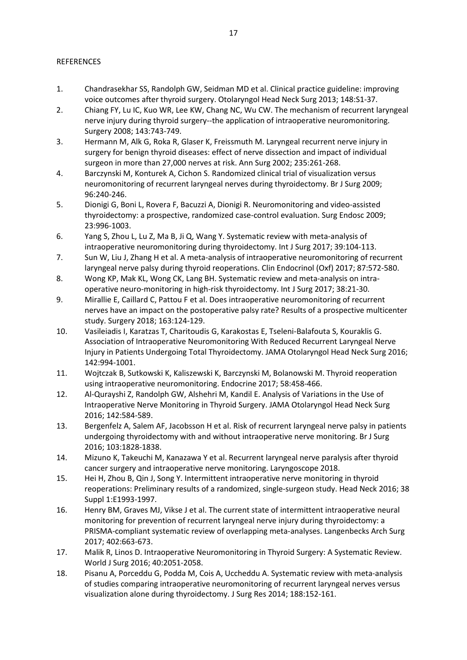## REFERENCES

- 1. Chandrasekhar SS, Randolph GW, Seidman MD et al. Clinical practice guideline: improving voice outcomes after thyroid surgery. Otolaryngol Head Neck Surg 2013; 148:S1-37.
- 2. Chiang FY, Lu IC, Kuo WR, Lee KW, Chang NC, Wu CW. The mechanism of recurrent laryngeal nerve injury during thyroid surgery--the application of intraoperative neuromonitoring. Surgery 2008; 143:743-749.
- 3. Hermann M, Alk G, Roka R, Glaser K, Freissmuth M. Laryngeal recurrent nerve injury in surgery for benign thyroid diseases: effect of nerve dissection and impact of individual surgeon in more than 27,000 nerves at risk. Ann Surg 2002; 235:261-268.
- 4. Barczynski M, Konturek A, Cichon S. Randomized clinical trial of visualization versus neuromonitoring of recurrent laryngeal nerves during thyroidectomy. Br J Surg 2009; 96:240-246.
- 5. Dionigi G, Boni L, Rovera F, Bacuzzi A, Dionigi R. Neuromonitoring and video-assisted thyroidectomy: a prospective, randomized case-control evaluation. Surg Endosc 2009; 23:996-1003.
- 6. Yang S, Zhou L, Lu Z, Ma B, Ji Q, Wang Y. Systematic review with meta-analysis of intraoperative neuromonitoring during thyroidectomy. Int J Surg 2017; 39:104-113.
- 7. Sun W, Liu J, Zhang H et al. A meta-analysis of intraoperative neuromonitoring of recurrent laryngeal nerve palsy during thyroid reoperations. Clin Endocrinol (Oxf) 2017; 87:572-580.
- 8. Wong KP, Mak KL, Wong CK, Lang BH. Systematic review and meta-analysis on intraoperative neuro-monitoring in high-risk thyroidectomy. Int J Surg 2017; 38:21-30.
- 9. Mirallie E, Caillard C, Pattou F et al. Does intraoperative neuromonitoring of recurrent nerves have an impact on the postoperative palsy rate? Results of a prospective multicenter study. Surgery 2018; 163:124-129.
- 10. Vasileiadis I, Karatzas T, Charitoudis G, Karakostas E, Tseleni-Balafouta S, Kouraklis G. Association of Intraoperative Neuromonitoring With Reduced Recurrent Laryngeal Nerve Injury in Patients Undergoing Total Thyroidectomy. JAMA Otolaryngol Head Neck Surg 2016; 142:994-1001.
- 11. Wojtczak B, Sutkowski K, Kaliszewski K, Barczynski M, Bolanowski M. Thyroid reoperation using intraoperative neuromonitoring. Endocrine 2017; 58:458-466.
- 12. Al-Qurayshi Z, Randolph GW, Alshehri M, Kandil E. Analysis of Variations in the Use of Intraoperative Nerve Monitoring in Thyroid Surgery. JAMA Otolaryngol Head Neck Surg 2016; 142:584-589.
- 13. Bergenfelz A, Salem AF, Jacobsson H et al. Risk of recurrent laryngeal nerve palsy in patients undergoing thyroidectomy with and without intraoperative nerve monitoring. Br J Surg 2016; 103:1828-1838.
- 14. Mizuno K, Takeuchi M, Kanazawa Y et al. Recurrent laryngeal nerve paralysis after thyroid cancer surgery and intraoperative nerve monitoring. Laryngoscope 2018.
- 15. Hei H, Zhou B, Qin J, Song Y. Intermittent intraoperative nerve monitoring in thyroid reoperations: Preliminary results of a randomized, single-surgeon study. Head Neck 2016; 38 Suppl 1:E1993-1997.
- 16. Henry BM, Graves MJ, Vikse J et al. The current state of intermittent intraoperative neural monitoring for prevention of recurrent laryngeal nerve injury during thyroidectomy: a PRISMA-compliant systematic review of overlapping meta-analyses. Langenbecks Arch Surg 2017; 402:663-673.
- 17. Malik R, Linos D. Intraoperative Neuromonitoring in Thyroid Surgery: A Systematic Review. World J Surg 2016; 40:2051-2058.
- 18. Pisanu A, Porceddu G, Podda M, Cois A, Uccheddu A. Systematic review with meta-analysis of studies comparing intraoperative neuromonitoring of recurrent laryngeal nerves versus visualization alone during thyroidectomy. J Surg Res 2014; 188:152-161.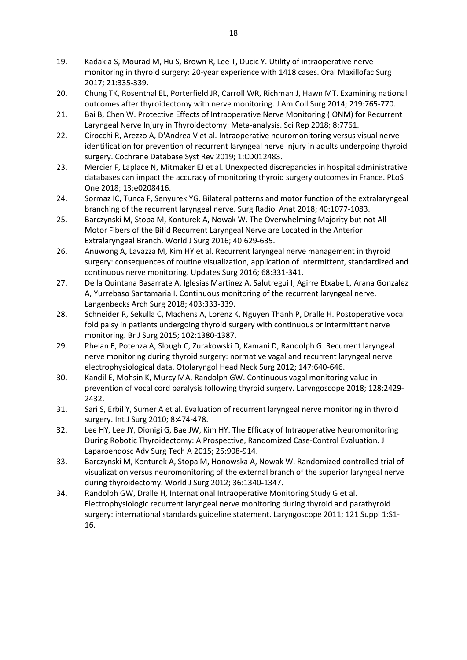- 19. Kadakia S, Mourad M, Hu S, Brown R, Lee T, Ducic Y. Utility of intraoperative nerve monitoring in thyroid surgery: 20-year experience with 1418 cases. Oral Maxillofac Surg 2017; 21:335-339.
- 20. Chung TK, Rosenthal EL, Porterfield JR, Carroll WR, Richman J, Hawn MT. Examining national outcomes after thyroidectomy with nerve monitoring. J Am Coll Surg 2014; 219:765-770.
- 21. Bai B, Chen W. Protective Effects of Intraoperative Nerve Monitoring (IONM) for Recurrent Laryngeal Nerve Injury in Thyroidectomy: Meta-analysis. Sci Rep 2018; 8:7761.
- 22. Cirocchi R, Arezzo A, D'Andrea V et al. Intraoperative neuromonitoring versus visual nerve identification for prevention of recurrent laryngeal nerve injury in adults undergoing thyroid surgery. Cochrane Database Syst Rev 2019; 1:CD012483.
- 23. Mercier F, Laplace N, Mitmaker EJ et al. Unexpected discrepancies in hospital administrative databases can impact the accuracy of monitoring thyroid surgery outcomes in France. PLoS One 2018; 13:e0208416.
- 24. Sormaz IC, Tunca F, Senyurek YG. Bilateral patterns and motor function of the extralaryngeal branching of the recurrent laryngeal nerve. Surg Radiol Anat 2018; 40:1077-1083.
- 25. Barczynski M, Stopa M, Konturek A, Nowak W. The Overwhelming Majority but not All Motor Fibers of the Bifid Recurrent Laryngeal Nerve are Located in the Anterior Extralaryngeal Branch. World J Surg 2016; 40:629-635.
- 26. Anuwong A, Lavazza M, Kim HY et al. Recurrent laryngeal nerve management in thyroid surgery: consequences of routine visualization, application of intermittent, standardized and continuous nerve monitoring. Updates Surg 2016; 68:331-341.
- 27. De la Quintana Basarrate A, Iglesias Martinez A, Salutregui I, Agirre Etxabe L, Arana Gonzalez A, Yurrebaso Santamaria I. Continuous monitoring of the recurrent laryngeal nerve. Langenbecks Arch Surg 2018; 403:333-339.
- 28. Schneider R, Sekulla C, Machens A, Lorenz K, Nguyen Thanh P, Dralle H. Postoperative vocal fold palsy in patients undergoing thyroid surgery with continuous or intermittent nerve monitoring. Br J Surg 2015; 102:1380-1387.
- 29. Phelan E, Potenza A, Slough C, Zurakowski D, Kamani D, Randolph G. Recurrent laryngeal nerve monitoring during thyroid surgery: normative vagal and recurrent laryngeal nerve electrophysiological data. Otolaryngol Head Neck Surg 2012; 147:640-646.
- 30. Kandil E, Mohsin K, Murcy MA, Randolph GW. Continuous vagal monitoring value in prevention of vocal cord paralysis following thyroid surgery. Laryngoscope 2018; 128:2429- 2432.
- 31. Sari S, Erbil Y, Sumer A et al. Evaluation of recurrent laryngeal nerve monitoring in thyroid surgery. Int J Surg 2010; 8:474-478.
- 32. Lee HY, Lee JY, Dionigi G, Bae JW, Kim HY. The Efficacy of Intraoperative Neuromonitoring During Robotic Thyroidectomy: A Prospective, Randomized Case-Control Evaluation. J Laparoendosc Adv Surg Tech A 2015; 25:908-914.
- 33. Barczynski M, Konturek A, Stopa M, Honowska A, Nowak W. Randomized controlled trial of visualization versus neuromonitoring of the external branch of the superior laryngeal nerve during thyroidectomy. World J Surg 2012; 36:1340-1347.
- 34. Randolph GW, Dralle H, International Intraoperative Monitoring Study G et al. Electrophysiologic recurrent laryngeal nerve monitoring during thyroid and parathyroid surgery: international standards guideline statement. Laryngoscope 2011; 121 Suppl 1:S1- 16.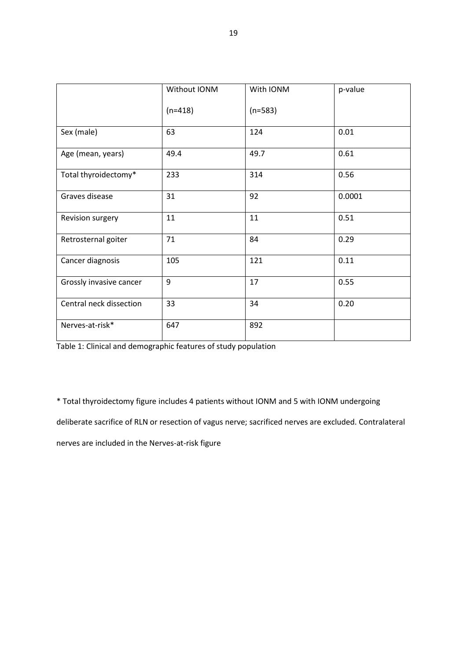|                         | Without IONM | With IONM | p-value |
|-------------------------|--------------|-----------|---------|
|                         | $(n=418)$    | $(n=583)$ |         |
| Sex (male)              | 63           | 124       | 0.01    |
| Age (mean, years)       | 49.4         | 49.7      | 0.61    |
| Total thyroidectomy*    | 233          | 314       | 0.56    |
| Graves disease          | 31           | 92        | 0.0001  |
| Revision surgery        | 11           | 11        | 0.51    |
| Retrosternal goiter     | 71           | 84        | 0.29    |
| Cancer diagnosis        | 105          | 121       | 0.11    |
| Grossly invasive cancer | 9            | 17        | 0.55    |
| Central neck dissection | 33           | 34        | 0.20    |
| Nerves-at-risk*         | 647          | 892       |         |

Table 1: Clinical and demographic features of study population

\* Total thyroidectomy figure includes 4 patients without IONM and 5 with IONM undergoing

deliberate sacrifice of RLN or resection of vagus nerve; sacrificed nerves are excluded. Contralateral

nerves are included in the Nerves-at-risk figure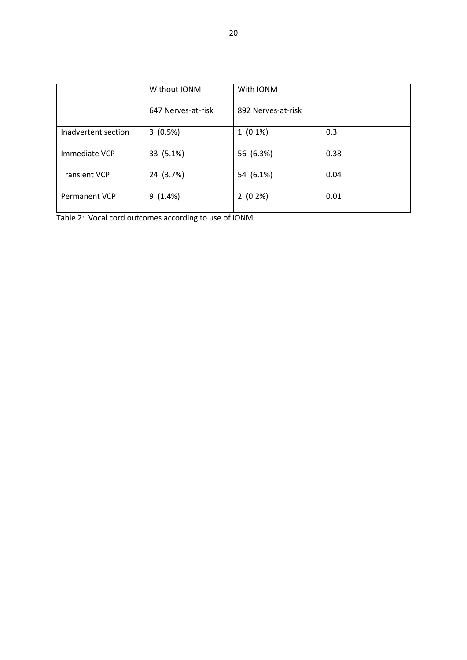|                      | Without IONM       | With IONM          |      |
|----------------------|--------------------|--------------------|------|
|                      | 647 Nerves-at-risk | 892 Nerves-at-risk |      |
| Inadvertent section  | 3(0.5%)            | $1(0.1\%)$         | 0.3  |
| Immediate VCP        | 33 (5.1%)          | 56 (6.3%)          | 0.38 |
| <b>Transient VCP</b> | 24 (3.7%)          | 54 (6.1%)          | 0.04 |
| <b>Permanent VCP</b> | 9(1.4%)            | 2(0.2%)            | 0.01 |

Table 2: Vocal cord outcomes according to use of IONM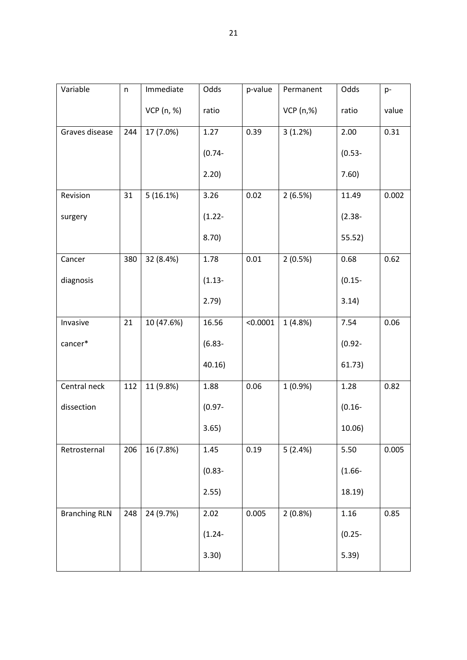| Variable             | $\mathsf{n}$ | Immediate  | Odds      | p-value  | Permanent  | Odds      | p-    |
|----------------------|--------------|------------|-----------|----------|------------|-----------|-------|
|                      |              | VCP (n, %) | ratio     |          | VCP (n,%)  | ratio     | value |
| Graves disease       | 244          | 17 (7.0%)  | 1.27      | 0.39     | 3(1.2%)    | 2.00      | 0.31  |
|                      |              |            | $(0.74 -$ |          |            | $(0.53 -$ |       |
|                      |              |            | 2.20)     |          |            | 7.60)     |       |
| Revision             | 31           | 5(16.1%)   | 3.26      | 0.02     | 2(6.5%)    | 11.49     | 0.002 |
| surgery              |              |            | $(1.22 -$ |          |            | $(2.38 -$ |       |
|                      |              |            | 8.70)     |          |            | 55.52)    |       |
| Cancer               | 380          | 32 (8.4%)  | 1.78      | 0.01     | 2(0.5%)    | 0.68      | 0.62  |
| diagnosis            |              |            | $(1.13 -$ |          |            | $(0.15 -$ |       |
|                      |              |            | 2.79)     |          |            | 3.14)     |       |
| Invasive             | 21           | 10 (47.6%) | 16.56     | < 0.0001 | 1(4.8%)    | 7.54      | 0.06  |
| cancer*              |              |            | $(6.83 -$ |          |            | $(0.92 -$ |       |
|                      |              |            | 40.16)    |          |            | 61.73)    |       |
| Central neck         | 112          | 11 (9.8%)  | 1.88      | 0.06     | $1(0.9\%)$ | 1.28      | 0.82  |
| dissection           |              |            | $(0.97 -$ |          |            | $(0.16 -$ |       |
|                      |              |            | 3.65)     |          |            | 10.06)    |       |
| Retrosternal         | 206          | 16 (7.8%)  | 1.45      | 0.19     | 5(2.4%)    | 5.50      | 0.005 |
|                      |              |            | $(0.83 -$ |          |            | $(1.66 -$ |       |
|                      |              |            | 2.55)     |          |            | 18.19)    |       |
| <b>Branching RLN</b> | 248          | 24 (9.7%)  | 2.02      | 0.005    | 2(0.8%)    | 1.16      | 0.85  |
|                      |              |            | $(1.24 -$ |          |            | $(0.25 -$ |       |
|                      |              |            | 3.30)     |          |            | 5.39)     |       |